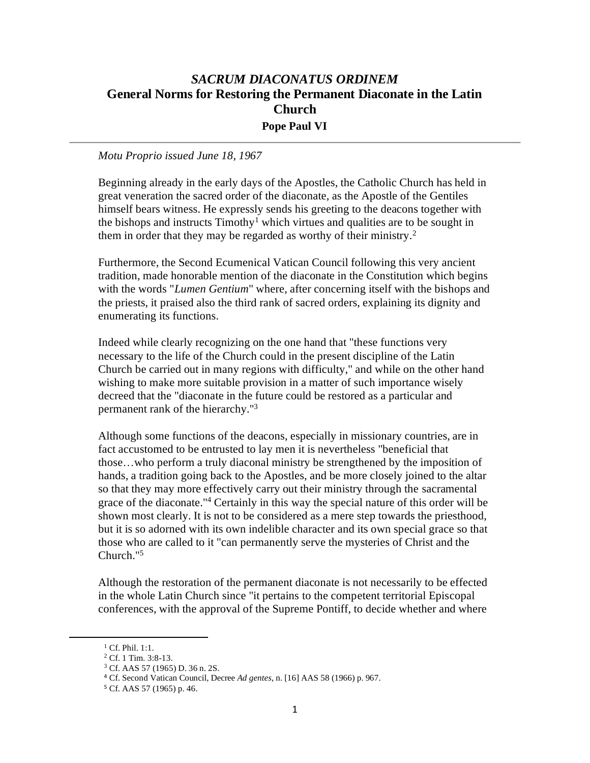#### *SACRUM DIACONATUS ORDINEM* **General Norms for Restoring the Permanent Diaconate in the Latin Church Pope Paul VI**

#### *Motu Proprio issued June 18, 1967*

Beginning already in the early days of the Apostles, the Catholic Church has held in great veneration the sacred order of the diaconate, as the Apostle of the Gentiles himself bears witness. He expressly sends his greeting to the deacons together with the bishops and instructs  $Timothy<sup>1</sup>$  which virtues and qualities are to be sought in them in order that they may be regarded as worthy of their ministry.<sup>2</sup>

Furthermore, the Second Ecumenical Vatican Council following this very ancient tradition, made honorable mention of the diaconate in the Constitution which begins with the words "*Lumen Gentium*" where, after concerning itself with the bishops and the priests, it praised also the third rank of sacred orders, explaining its dignity and enumerating its functions.

Indeed while clearly recognizing on the one hand that "these functions very necessary to the life of the Church could in the present discipline of the Latin Church be carried out in many regions with difficulty," and while on the other hand wishing to make more suitable provision in a matter of such importance wisely decreed that the "diaconate in the future could be restored as a particular and permanent rank of the hierarchy."<sup>3</sup>

Although some functions of the deacons, especially in missionary countries, are in fact accustomed to be entrusted to lay men it is nevertheless "beneficial that those…who perform a truly diaconal ministry be strengthened by the imposition of hands, a tradition going back to the Apostles, and be more closely joined to the altar so that they may more effectively carry out their ministry through the sacramental grace of the diaconate."<sup>4</sup> Certainly in this way the special nature of this order will be shown most clearly. It is not to be considered as a mere step towards the priesthood, but it is so adorned with its own indelible character and its own special grace so that those who are called to it "can permanently serve the mysteries of Christ and the Church."<sup>5</sup>

Although the restoration of the permanent diaconate is not necessarily to be effected in the whole Latin Church since "it pertains to the competent territorial Episcopal conferences, with the approval of the Supreme Pontiff, to decide whether and where

<sup>1</sup> Cf. Phil. 1:1.

<sup>2</sup> Cf. 1 Tim. 3:8-13.

<sup>3</sup> Cf. AAS 57 (1965) D. 36 n. 2S.

<sup>4</sup> Cf. Second Vatican Council, Decree *Ad gentes*, n. [16] AAS 58 (1966) p. 967.

<sup>5</sup> Cf. AAS 57 (1965) p. 46.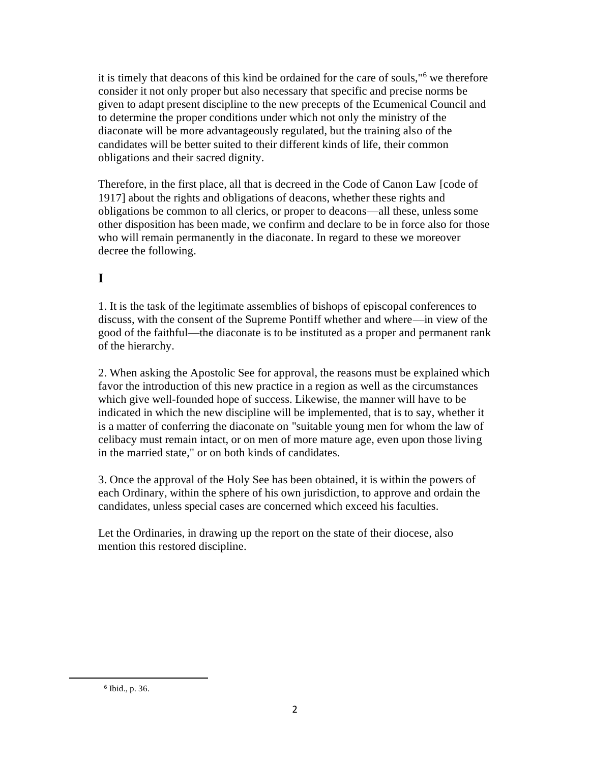it is timely that deacons of this kind be ordained for the care of souls,"<sup>6</sup> we therefore consider it not only proper but also necessary that specific and precise norms be given to adapt present discipline to the new precepts of the Ecumenical Council and to determine the proper conditions under which not only the ministry of the diaconate will be more advantageously regulated, but the training also of the candidates will be better suited to their different kinds of life, their common obligations and their sacred dignity.

Therefore, in the first place, all that is decreed in the Code of Canon Law [code of 1917] about the rights and obligations of deacons, whether these rights and obligations be common to all clerics, or proper to deacons—all these, unless some other disposition has been made, we confirm and declare to be in force also for those who will remain permanently in the diaconate. In regard to these we moreover decree the following.

# **I**

1. It is the task of the legitimate assemblies of bishops of episcopal conferences to discuss, with the consent of the Supreme Pontiff whether and where—in view of the good of the faithful—the diaconate is to be instituted as a proper and permanent rank of the hierarchy.

2. When asking the Apostolic See for approval, the reasons must be explained which favor the introduction of this new practice in a region as well as the circumstances which give well-founded hope of success. Likewise, the manner will have to be indicated in which the new discipline will be implemented, that is to say, whether it is a matter of conferring the diaconate on "suitable young men for whom the law of celibacy must remain intact, or on men of more mature age, even upon those living in the married state," or on both kinds of candidates.

3. Once the approval of the Holy See has been obtained, it is within the powers of each Ordinary, within the sphere of his own jurisdiction, to approve and ordain the candidates, unless special cases are concerned which exceed his faculties.

Let the Ordinaries, in drawing up the report on the state of their diocese, also mention this restored discipline.

<sup>6</sup> Ibid., p. 36.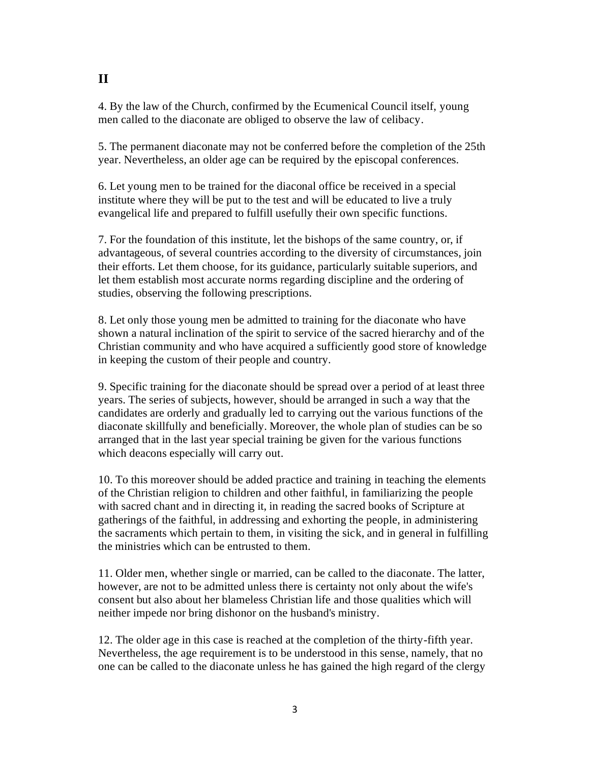#### **II**

4. By the law of the Church, confirmed by the Ecumenical Council itself, young men called to the diaconate are obliged to observe the law of celibacy.

5. The permanent diaconate may not be conferred before the completion of the 25th year. Nevertheless, an older age can be required by the episcopal conferences.

6. Let young men to be trained for the diaconal office be received in a special institute where they will be put to the test and will be educated to live a truly evangelical life and prepared to fulfill usefully their own specific functions.

7. For the foundation of this institute, let the bishops of the same country, or, if advantageous, of several countries according to the diversity of circumstances, join their efforts. Let them choose, for its guidance, particularly suitable superiors, and let them establish most accurate norms regarding discipline and the ordering of studies, observing the following prescriptions.

8. Let only those young men be admitted to training for the diaconate who have shown a natural inclination of the spirit to service of the sacred hierarchy and of the Christian community and who have acquired a sufficiently good store of knowledge in keeping the custom of their people and country.

9. Specific training for the diaconate should be spread over a period of at least three years. The series of subjects, however, should be arranged in such a way that the candidates are orderly and gradually led to carrying out the various functions of the diaconate skillfully and beneficially. Moreover, the whole plan of studies can be so arranged that in the last year special training be given for the various functions which deacons especially will carry out.

10. To this moreover should be added practice and training in teaching the elements of the Christian religion to children and other faithful, in familiarizing the people with sacred chant and in directing it, in reading the sacred books of Scripture at gatherings of the faithful, in addressing and exhorting the people, in administering the sacraments which pertain to them, in visiting the sick, and in general in fulfilling the ministries which can be entrusted to them.

11. Older men, whether single or married, can be called to the diaconate. The latter, however, are not to be admitted unless there is certainty not only about the wife's consent but also about her blameless Christian life and those qualities which will neither impede nor bring dishonor on the husband's ministry.

12. The older age in this case is reached at the completion of the thirty-fifth year. Nevertheless, the age requirement is to be understood in this sense, namely, that no one can be called to the diaconate unless he has gained the high regard of the clergy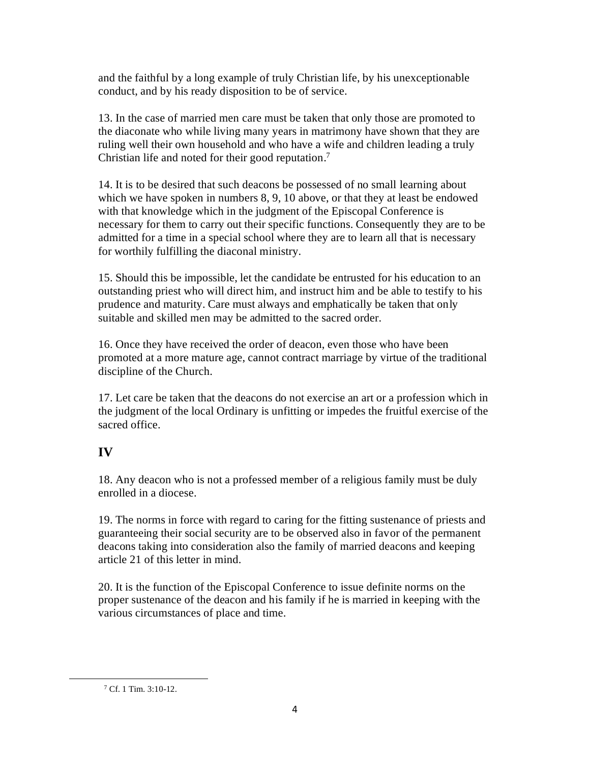and the faithful by a long example of truly Christian life, by his unexceptionable conduct, and by his ready disposition to be of service.

13. In the case of married men care must be taken that only those are promoted to the diaconate who while living many years in matrimony have shown that they are ruling well their own household and who have a wife and children leading a truly Christian life and noted for their good reputation.<sup>7</sup>

14. It is to be desired that such deacons be possessed of no small learning about which we have spoken in numbers 8, 9, 10 above, or that they at least be endowed with that knowledge which in the judgment of the Episcopal Conference is necessary for them to carry out their specific functions. Consequently they are to be admitted for a time in a special school where they are to learn all that is necessary for worthily fulfilling the diaconal ministry.

15. Should this be impossible, let the candidate be entrusted for his education to an outstanding priest who will direct him, and instruct him and be able to testify to his prudence and maturity. Care must always and emphatically be taken that only suitable and skilled men may be admitted to the sacred order.

16. Once they have received the order of deacon, even those who have been promoted at a more mature age, cannot contract marriage by virtue of the traditional discipline of the Church.

17. Let care be taken that the deacons do not exercise an art or a profession which in the judgment of the local Ordinary is unfitting or impedes the fruitful exercise of the sacred office.

### **IV**

18. Any deacon who is not a professed member of a religious family must be duly enrolled in a diocese.

19. The norms in force with regard to caring for the fitting sustenance of priests and guaranteeing their social security are to be observed also in favor of the permanent deacons taking into consideration also the family of married deacons and keeping article 21 of this letter in mind.

20. It is the function of the Episcopal Conference to issue definite norms on the proper sustenance of the deacon and his family if he is married in keeping with the various circumstances of place and time.

<sup>7</sup> Cf. 1 Tim. 3:10-12.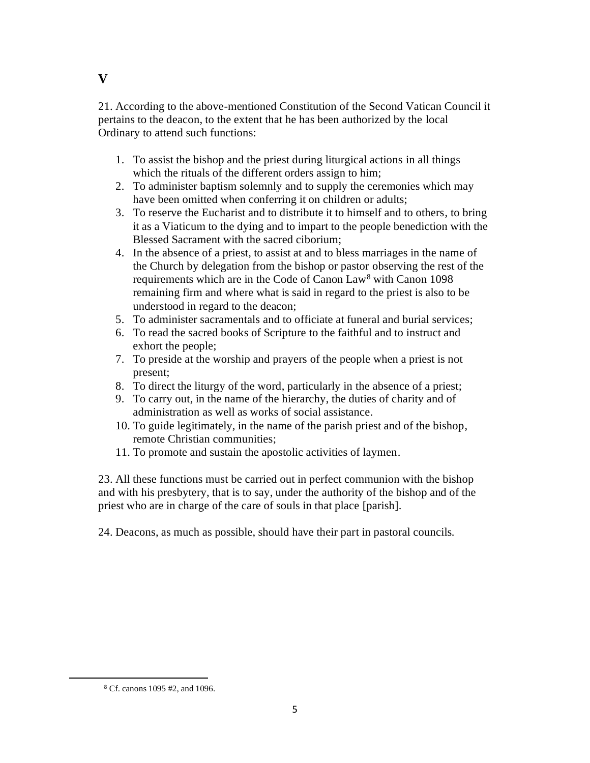21. According to the above-mentioned Constitution of the Second Vatican Council it pertains to the deacon, to the extent that he has been authorized by the local Ordinary to attend such functions:

- 1. To assist the bishop and the priest during liturgical actions in all things which the rituals of the different orders assign to him;
- 2. To administer baptism solemnly and to supply the ceremonies which may have been omitted when conferring it on children or adults;
- 3. To reserve the Eucharist and to distribute it to himself and to others, to bring it as a Viaticum to the dying and to impart to the people benediction with the Blessed Sacrament with the sacred ciborium;
- 4. In the absence of a priest, to assist at and to bless marriages in the name of the Church by delegation from the bishop or pastor observing the rest of the requirements which are in the Code of Canon Law<sup>8</sup> with Canon 1098 remaining firm and where what is said in regard to the priest is also to be understood in regard to the deacon;
- 5. To administer sacramentals and to officiate at funeral and burial services;
- 6. To read the sacred books of Scripture to the faithful and to instruct and exhort the people;
- 7. To preside at the worship and prayers of the people when a priest is not present;
- 8. To direct the liturgy of the word, particularly in the absence of a priest;
- 9. To carry out, in the name of the hierarchy, the duties of charity and of administration as well as works of social assistance.
- 10. To guide legitimately, in the name of the parish priest and of the bishop, remote Christian communities;
- 11. To promote and sustain the apostolic activities of laymen.

23. All these functions must be carried out in perfect communion with the bishop and with his presbytery, that is to say, under the authority of the bishop and of the priest who are in charge of the care of souls in that place [parish].

24. Deacons, as much as possible, should have their part in pastoral councils.

**V**

<sup>8</sup> Cf. canons 1095 #2, and 1096.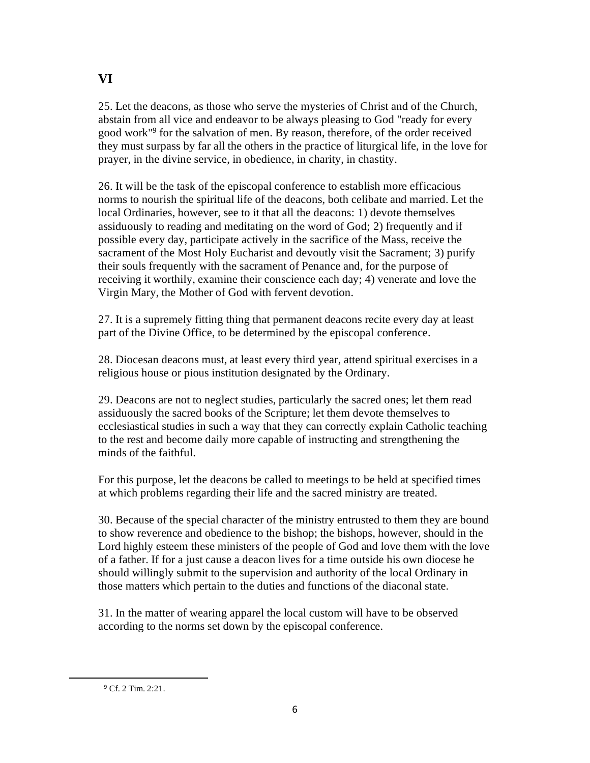### **VI**

25. Let the deacons, as those who serve the mysteries of Christ and of the Church, abstain from all vice and endeavor to be always pleasing to God "ready for every good work"<sup>9</sup> for the salvation of men. By reason, therefore, of the order received they must surpass by far all the others in the practice of liturgical life, in the love for prayer, in the divine service, in obedience, in charity, in chastity.

26. It will be the task of the episcopal conference to establish more efficacious norms to nourish the spiritual life of the deacons, both celibate and married. Let the local Ordinaries, however, see to it that all the deacons: 1) devote themselves assiduously to reading and meditating on the word of God; 2) frequently and if possible every day, participate actively in the sacrifice of the Mass, receive the sacrament of the Most Holy Eucharist and devoutly visit the Sacrament; 3) purify their souls frequently with the sacrament of Penance and, for the purpose of receiving it worthily, examine their conscience each day; 4) venerate and love the Virgin Mary, the Mother of God with fervent devotion.

27. It is a supremely fitting thing that permanent deacons recite every day at least part of the Divine Office, to be determined by the episcopal conference.

28. Diocesan deacons must, at least every third year, attend spiritual exercises in a religious house or pious institution designated by the Ordinary.

29. Deacons are not to neglect studies, particularly the sacred ones; let them read assiduously the sacred books of the Scripture; let them devote themselves to ecclesiastical studies in such a way that they can correctly explain Catholic teaching to the rest and become daily more capable of instructing and strengthening the minds of the faithful.

For this purpose, let the deacons be called to meetings to be held at specified times at which problems regarding their life and the sacred ministry are treated.

30. Because of the special character of the ministry entrusted to them they are bound to show reverence and obedience to the bishop; the bishops, however, should in the Lord highly esteem these ministers of the people of God and love them with the love of a father. If for a just cause a deacon lives for a time outside his own diocese he should willingly submit to the supervision and authority of the local Ordinary in those matters which pertain to the duties and functions of the diaconal state.

31. In the matter of wearing apparel the local custom will have to be observed according to the norms set down by the episcopal conference.

<sup>9</sup> Cf. 2 Tim. 2:21.